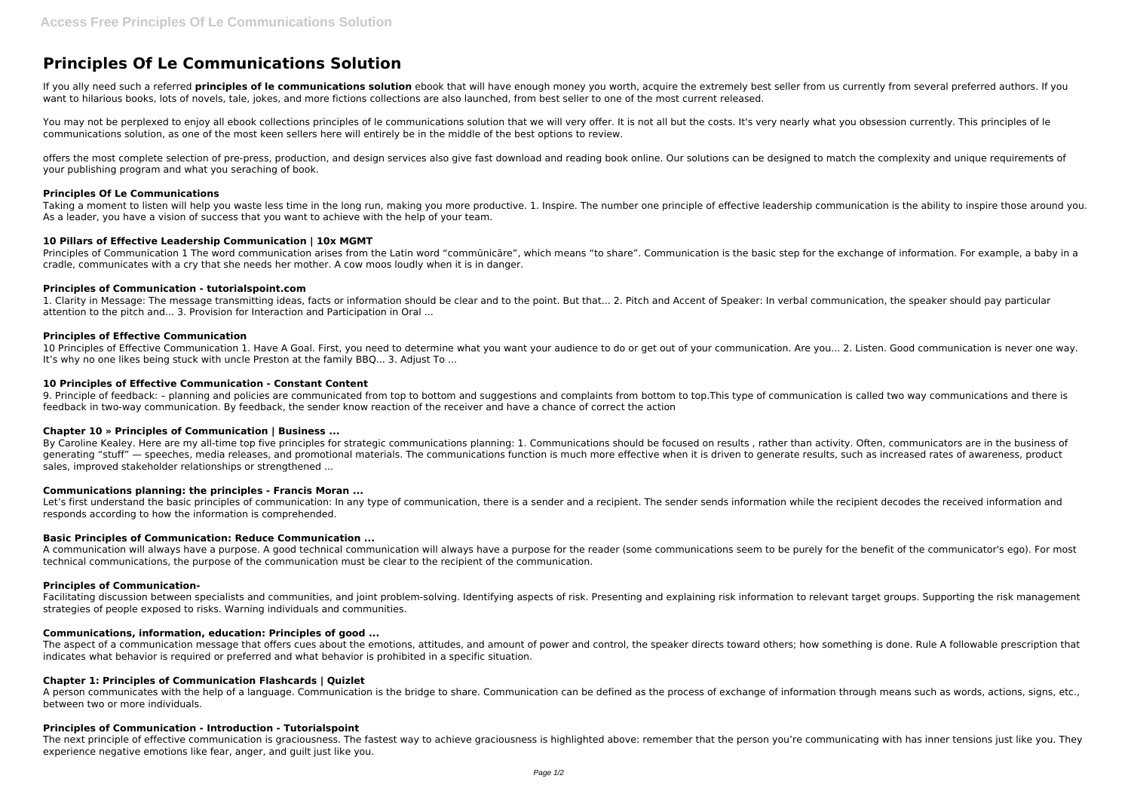# **Principles Of Le Communications Solution**

If you ally need such a referred **principles of le communications solution** ebook that will have enough money you worth, acquire the extremely best seller from us currently from several preferred authors. If you want to hilarious books, lots of novels, tale, jokes, and more fictions collections are also launched, from best seller to one of the most current released.

You may not be perplexed to enjoy all ebook collections principles of le communications solution that we will very offer. It is not all but the costs. It's very nearly what you obsession currently. This principles of le communications solution, as one of the most keen sellers here will entirely be in the middle of the best options to review.

Principles of Communication 1 The word communication arises from the Latin word "communicare", which means "to share". Communication is the basic step for the exchange of information. For example, a baby in a cradle, communicates with a cry that she needs her mother. A cow moos loudly when it is in danger.

offers the most complete selection of pre-press, production, and design services also give fast download and reading book online. Our solutions can be designed to match the complexity and unique requirements of your publishing program and what you seraching of book.

#### **Principles Of Le Communications**

10 Principles of Effective Communication 1. Have A Goal. First, you need to determine what you want your audience to do or get out of your communication. Are you... 2. Listen. Good communication is never one way. It's why no one likes being stuck with uncle Preston at the family BBQ... 3. Adjust To ...

Taking a moment to listen will help you waste less time in the long run, making you more productive. 1. Inspire. The number one principle of effective leadership communication is the ability to inspire those around you. As a leader, you have a vision of success that you want to achieve with the help of your team.

# **10 Pillars of Effective Leadership Communication | 10x MGMT**

By Caroline Kealey. Here are my all-time top five principles for strategic communications planning: 1. Communications should be focused on results , rather than activity. Often, communicators are in the business of generating "stuff" — speeches, media releases, and promotional materials. The communications function is much more effective when it is driven to generate results, such as increased rates of awareness, product sales, improved stakeholder relationships or strengthened ...

# **Principles of Communication - tutorialspoint.com**

Let's first understand the basic principles of communication: In any type of communication, there is a sender and a recipient. The sender sends information while the recipient decodes the received information and responds according to how the information is comprehended.

1. Clarity in Message: The message transmitting ideas, facts or information should be clear and to the point. But that... 2. Pitch and Accent of Speaker: In verbal communication, the speaker should pay particular attention to the pitch and... 3. Provision for Interaction and Participation in Oral ...

# **Principles of Effective Communication**

Facilitating discussion between specialists and communities, and joint problem-solving. Identifying aspects of risk. Presenting and explaining risk information to relevant target groups. Supporting the risk management strategies of people exposed to risks. Warning individuals and communities.

# **10 Principles of Effective Communication - Constant Content**

A person communicates with the help of a language. Communication is the bridge to share. Communication can be defined as the process of exchange of information through means such as words, actions, signs, etc., between two or more individuals.

9. Principle of feedback: – planning and policies are communicated from top to bottom and suggestions and complaints from bottom to top.This type of communication is called two way communications and there is feedback in two-way communication. By feedback, the sender know reaction of the receiver and have a chance of correct the action

The next principle of effective communication is graciousness. The fastest way to achieve graciousness is highlighted above: remember that the person you're communicating with has inner tensions just like you. They experience negative emotions like fear, anger, and guilt just like you.

### **Chapter 10 » Principles of Communication | Business ...**

#### **Communications planning: the principles - Francis Moran ...**

#### **Basic Principles of Communication: Reduce Communication ...**

A communication will always have a purpose. A good technical communication will always have a purpose for the reader (some communications seem to be purely for the benefit of the communicator's ego). For most technical communications, the purpose of the communication must be clear to the recipient of the communication.

#### **Principles of Communication-**

#### **Communications, information, education: Principles of good ...**

The aspect of a communication message that offers cues about the emotions, attitudes, and amount of power and control, the speaker directs toward others; how something is done. Rule A followable prescription that indicates what behavior is required or preferred and what behavior is prohibited in a specific situation.

#### **Chapter 1: Principles of Communication Flashcards | Quizlet**

#### **Principles of Communication - Introduction - Tutorialspoint**